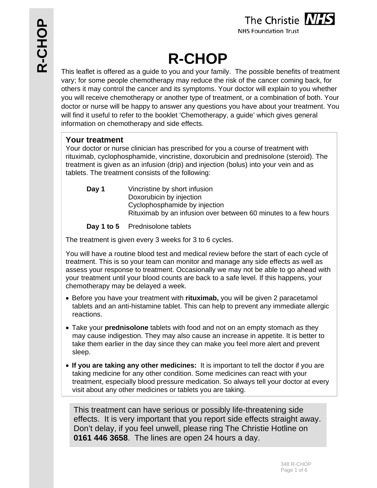

**R-CHOP** 

This leaflet is offered as a guide to you and your family. The possible benefits of treatment vary; for some people chemotherapy may reduce the risk of the cancer coming back, for others it may control the cancer and its symptoms. Your doctor will explain to you whether you will receive chemotherapy or another type of treatment, or a combination of both. Your doctor or nurse will be happy to answer any questions you have about your treatment. You will find it useful to refer to the booklet 'Chemotherapy, a guide' which gives general information on chemotherapy and side effects.

## **Your treatment**

Your doctor or nurse clinician has prescribed for you a course of treatment with rituximab, cyclophosphamide, vincristine, doxorubicin and prednisolone (steroid). The treatment is given as an infusion (drip) and injection (bolus) into your vein and as tablets. The treatment consists of the following:

**Day 1** Vincristine by short infusion Doxorubicin by injection Cyclophosphamide by injection Rituximab by an infusion over between 60 minutes to a few hours

Day 1 to 5 Prednisolone tablets

The treatment is given every 3 weeks for 3 to 6 cycles.

You will have a routine blood test and medical review before the start of each cycle of treatment. This is so your team can monitor and manage any side effects as well as assess your response to treatment. Occasionally we may not be able to go ahead with your treatment until your blood counts are back to a safe level. If this happens, your chemotherapy may be delayed a week.

- Before you have your treatment with **rituximab,** you will be given 2 paracetamol tablets and an anti-histamine tablet. This can help to prevent any immediate allergic reactions.
- Take your **prednisolone** tablets with food and not on an empty stomach as they may cause indigestion. They may also cause an increase in appetite. It is better to take them earlier in the day since they can make you feel more alert and prevent sleep.
- **If you are taking any other medicines:** It is important to tell the doctor if you are taking medicine for any other condition. Some medicines can react with your treatment, especially blood pressure medication. So always tell your doctor at every visit about any other medicines or tablets you are taking.

This treatment can have serious or possibly life-threatening side effects. It is very important that you report side effects straight away. Don't delay, if you feel unwell, please ring The Christie Hotline on **0161 446 3658**. The lines are open 24 hours a day.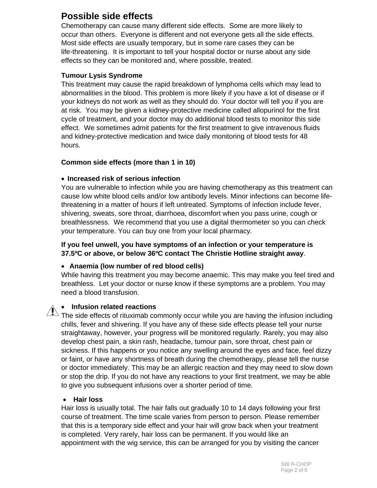# **Possible side effects**

Chemotherapy can cause many different side effects. Some are more likely to occur than others. Everyone is different and not everyone gets all the side effects. Most side effects are usually temporary, but in some rare cases they can be life-threatening. It is important to tell your hospital doctor or nurse about any side effects so they can be monitored and, where possible, treated.

## **Tumour Lysis Syndrome**

This treatment may cause the rapid breakdown of lymphoma cells which may lead to abnormalities in the blood. This problem is more likely if you have a lot of disease or if your kidneys do not work as well as they should do. Your doctor will tell you if you are at risk. You may be given a kidney-protective medicine called allopurinol for the first cycle of treatment, and your doctor may do additional blood tests to monitor this side effect. We sometimes admit patients for the first treatment to give intravenous fluids and kidney-protective medication and twice daily monitoring of blood tests for 48 hours.

## **Common side effects (more than 1 in 10)**

## **Increased risk of serious infection**

You are vulnerable to infection while you are having chemotherapy as this treatment can cause low white blood cells and/or low antibody levels. Minor infections can become lifethreatening in a matter of hours if left untreated. Symptoms of infection include fever, shivering, sweats, sore throat, diarrhoea, discomfort when you pass urine, cough or breathlessness. We recommend that you use a digital thermometer so you can check your temperature. You can buy one from your local pharmacy.

## **If you feel unwell, you have symptoms of an infection or your temperature is 37.5ºC or above, or below 36ºC contact The Christie Hotline straight away**.

#### **Anaemia (low number of red blood cells)**

While having this treatment you may become anaemic. This may make you feel tired and breathless. Let your doctor or nurse know if these symptoms are a problem. You may need a blood transfusion.

## **Infusion related reactions**

 $\Delta$  The side effects of rituximab commonly occur while you are having the infusion including chills, fever and shivering. If you have any of these side effects please tell your nurse straightaway, however, your progress will be monitored regularly. Rarely, you may also develop chest pain, a skin rash, headache, tumour pain, sore throat, chest pain or sickness. If this happens or you notice any swelling around the eyes and face, feel dizzy or faint, or have any shortness of breath during the chemotherapy, please tell the nurse or doctor immediately. This may be an allergic reaction and they may need to slow down or stop the drip. If you do not have any reactions to your first treatment, we may be able to give you subsequent infusions over a shorter period of time.

#### **Hair loss**

Hair loss is usually total. The hair falls out gradually 10 to 14 days following your first course of treatment. The time scale varies from person to person. Please remember that this is a temporary side effect and your hair will grow back when your treatment is completed. Very rarely, hair loss can be permanent. If you would like an appointment with the wig service, this can be arranged for you by visiting the cancer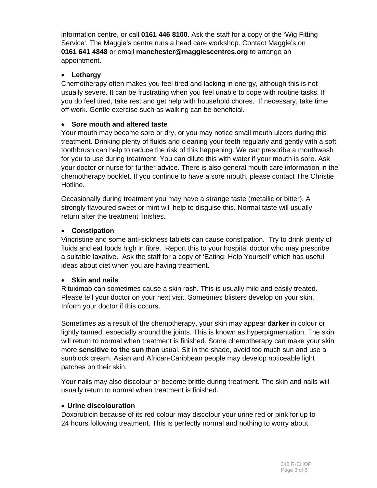information centre, or call **0161 446 8100**. Ask the staff for a copy of the 'Wig Fitting Service'. The Maggie's centre runs a head care workshop. Contact Maggie's on **0161 641 4848** or email **manchester@maggiescentres.org** to arrange an appointment.

## **Lethargy**

Chemotherapy often makes you feel tired and lacking in energy, although this is not usually severe. It can be frustrating when you feel unable to cope with routine tasks. If you do feel tired, take rest and get help with household chores. If necessary, take time off work. Gentle exercise such as walking can be beneficial.

## **Sore mouth and altered taste**

Your mouth may become sore or dry, or you may notice small mouth ulcers during this treatment. Drinking plenty of fluids and cleaning your teeth regularly and gently with a soft toothbrush can help to reduce the risk of this happening. We can prescribe a mouthwash for you to use during treatment. You can dilute this with water if your mouth is sore. Ask your doctor or nurse for further advice. There is also general mouth care information in the chemotherapy booklet. If you continue to have a sore mouth, please contact The Christie Hotline.

Occasionally during treatment you may have a strange taste (metallic or bitter). A strongly flavoured sweet or mint will help to disguise this. Normal taste will usually return after the treatment finishes.

## **Constipation**

Vincristine and some anti-sickness tablets can cause constipation. Try to drink plenty of fluids and eat foods high in fibre. Report this to your hospital doctor who may prescribe a suitable laxative. Ask the staff for a copy of 'Eating: Help Yourself' which has useful ideas about diet when you are having treatment.

#### **Skin and nails**

Rituximab can sometimes cause a skin rash. This is usually mild and easily treated. Please tell your doctor on your next visit. Sometimes blisters develop on your skin. Inform your doctor if this occurs.

Sometimes as a result of the chemotherapy, your skin may appear **darker** in colour or lightly tanned, especially around the joints. This is known as hyperpigmentation. The skin will return to normal when treatment is finished. Some chemotherapy can make your skin more **sensitive to the sun** than usual. Sit in the shade, avoid too much sun and use a sunblock cream. Asian and African-Caribbean people may develop noticeable light patches on their skin.

Your nails may also discolour or become brittle during treatment. The skin and nails will usually return to normal when treatment is finished.

#### **Urine discolouration**

Doxorubicin because of its red colour may discolour your urine red or pink for up to 24 hours following treatment. This is perfectly normal and nothing to worry about.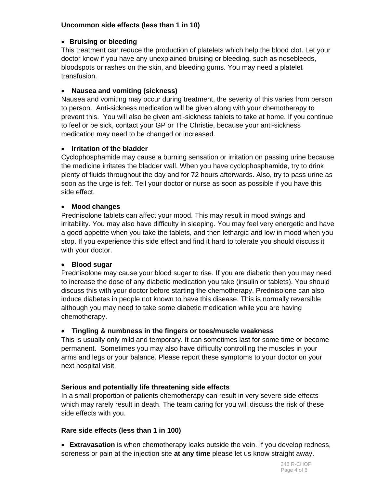## **Uncommon side effects (less than 1 in 10)**

## **Bruising or bleeding**

This treatment can reduce the production of platelets which help the blood clot. Let your doctor know if you have any unexplained bruising or bleeding, such as nosebleeds, bloodspots or rashes on the skin, and bleeding gums. You may need a platelet transfusion.

## **Nausea and vomiting (sickness)**

Nausea and vomiting may occur during treatment, the severity of this varies from person to person. Anti-sickness medication will be given along with your chemotherapy to prevent this. You will also be given anti-sickness tablets to take at home. If you continue to feel or be sick, contact your GP or The Christie, because your anti-sickness medication may need to be changed or increased.

## **Irritation of the bladder**

Cyclophosphamide may cause a burning sensation or irritation on passing urine because the medicine irritates the bladder wall. When you have cyclophosphamide, try to drink plenty of fluids throughout the day and for 72 hours afterwards. Also, try to pass urine as soon as the urge is felt. Tell your doctor or nurse as soon as possible if you have this side effect.

## **Mood changes**

Prednisolone tablets can affect your mood. This may result in mood swings and irritability. You may also have difficulty in sleeping. You may feel very energetic and have a good appetite when you take the tablets, and then lethargic and low in mood when you stop. If you experience this side effect and find it hard to tolerate you should discuss it with your doctor.

## **Blood sugar**

Prednisolone may cause your blood sugar to rise. If you are diabetic then you may need to increase the dose of any diabetic medication you take (insulin or tablets). You should discuss this with your doctor before starting the chemotherapy. Prednisolone can also induce diabetes in people not known to have this disease. This is normally reversible although you may need to take some diabetic medication while you are having chemotherapy.

## **Tingling & numbness in the fingers or toes/muscle weakness**

This is usually only mild and temporary. It can sometimes last for some time or become permanent. Sometimes you may also have difficulty controlling the muscles in your arms and legs or your balance. Please report these symptoms to your doctor on your next hospital visit.

## **Serious and potentially life threatening side effects**

In a small proportion of patients chemotherapy can result in very severe side effects which may rarely result in death. The team caring for you will discuss the risk of these side effects with you.

## **Rare side effects (less than 1 in 100)**

 **Extravasation** is when chemotherapy leaks outside the vein. If you develop redness, soreness or pain at the injection site **at any time** please let us know straight away.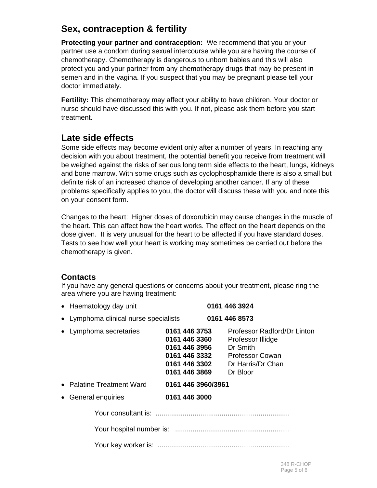# **Sex, contraception & fertility**

**Protecting your partner and contraception:** We recommend that you or your partner use a condom during sexual intercourse while you are having the course of chemotherapy. Chemotherapy is dangerous to unborn babies and this will also protect you and your partner from any chemotherapy drugs that may be present in semen and in the vagina. If you suspect that you may be pregnant please tell your doctor immediately.

**Fertility:** This chemotherapy may affect your ability to have children. Your doctor or nurse should have discussed this with you. If not, please ask them before you start treatment.

# **Late side effects**

Some side effects may become evident only after a number of years. In reaching any decision with you about treatment, the potential benefit you receive from treatment will be weighed against the risks of serious long term side effects to the heart, lungs, kidneys and bone marrow. With some drugs such as cyclophosphamide there is also a small but definite risk of an increased chance of developing another cancer. If any of these problems specifically applies to you, the doctor will discuss these with you and note this on your consent form.

Changes to the heart: Higher doses of doxorubicin may cause changes in the muscle of the heart. This can affect how the heart works. The effect on the heart depends on the dose given. It is very unusual for the heart to be affected if you have standard doses. Tests to see how well your heart is working may sometimes be carried out before the chemotherapy is given.

## **Contacts**

If you have any general questions or concerns about your treatment, please ring the area where you are having treatment:

| • Haematology day unit                | 0161 446 3924                                                                                                                                                                                                       |
|---------------------------------------|---------------------------------------------------------------------------------------------------------------------------------------------------------------------------------------------------------------------|
| • Lymphoma clinical nurse specialists | 0161 446 8573                                                                                                                                                                                                       |
| • Lymphoma secretaries                | 0161 446 3753<br>Professor Radford/Dr Linton<br>0161 446 3360<br>Professor Illidge<br>0161 446 3956<br>Dr Smith<br>0161 446 3332 Professor Cowan<br>Dr Harris/Dr Chan<br>0161 446 3302<br>0161 446 3869<br>Dr Bloor |
| $\bullet$ Palatine Treatment Ward     | 0161 446 3960/3961                                                                                                                                                                                                  |
| • General enquiries                   | 0161 446 3000                                                                                                                                                                                                       |
|                                       |                                                                                                                                                                                                                     |
|                                       |                                                                                                                                                                                                                     |